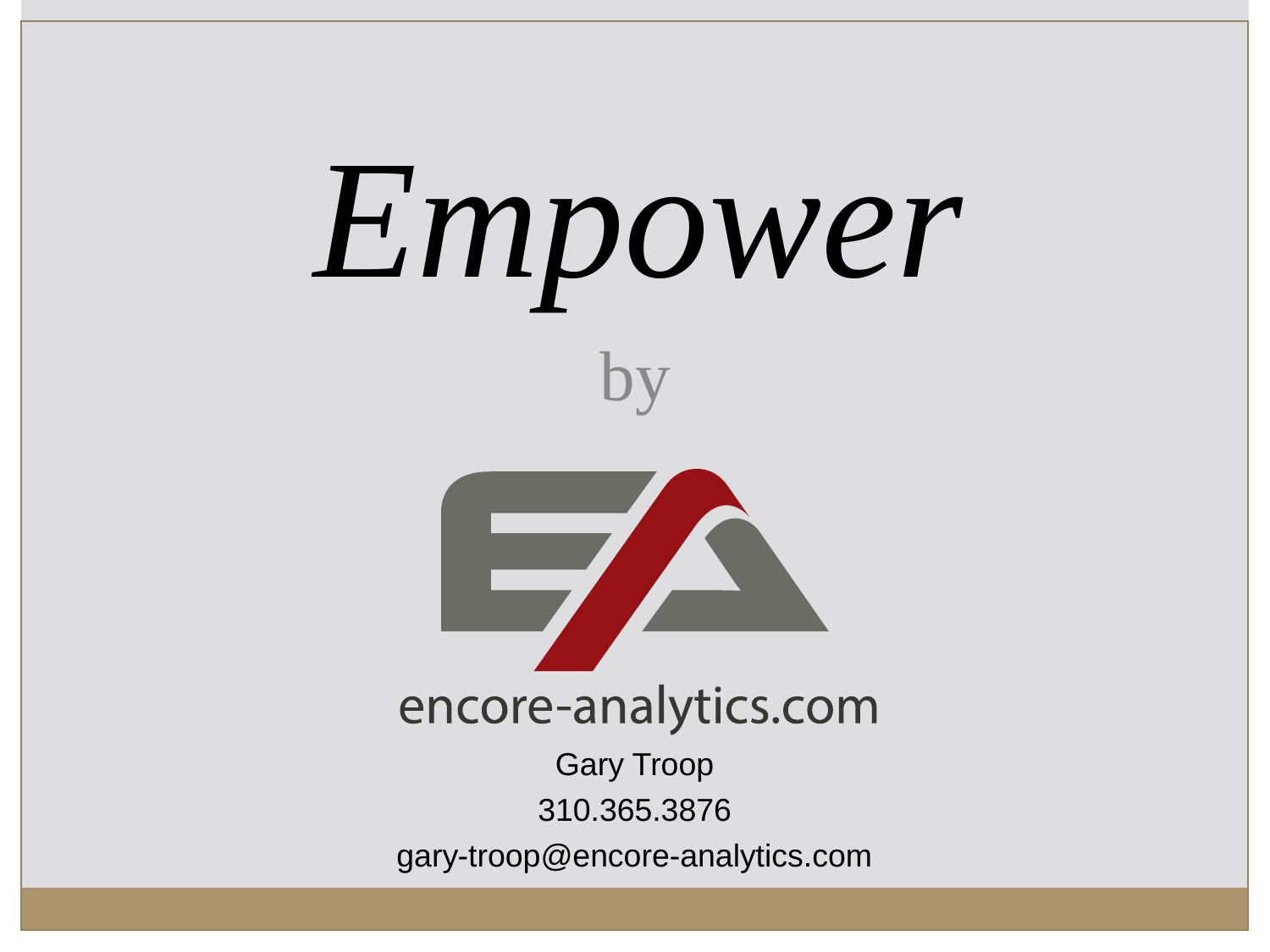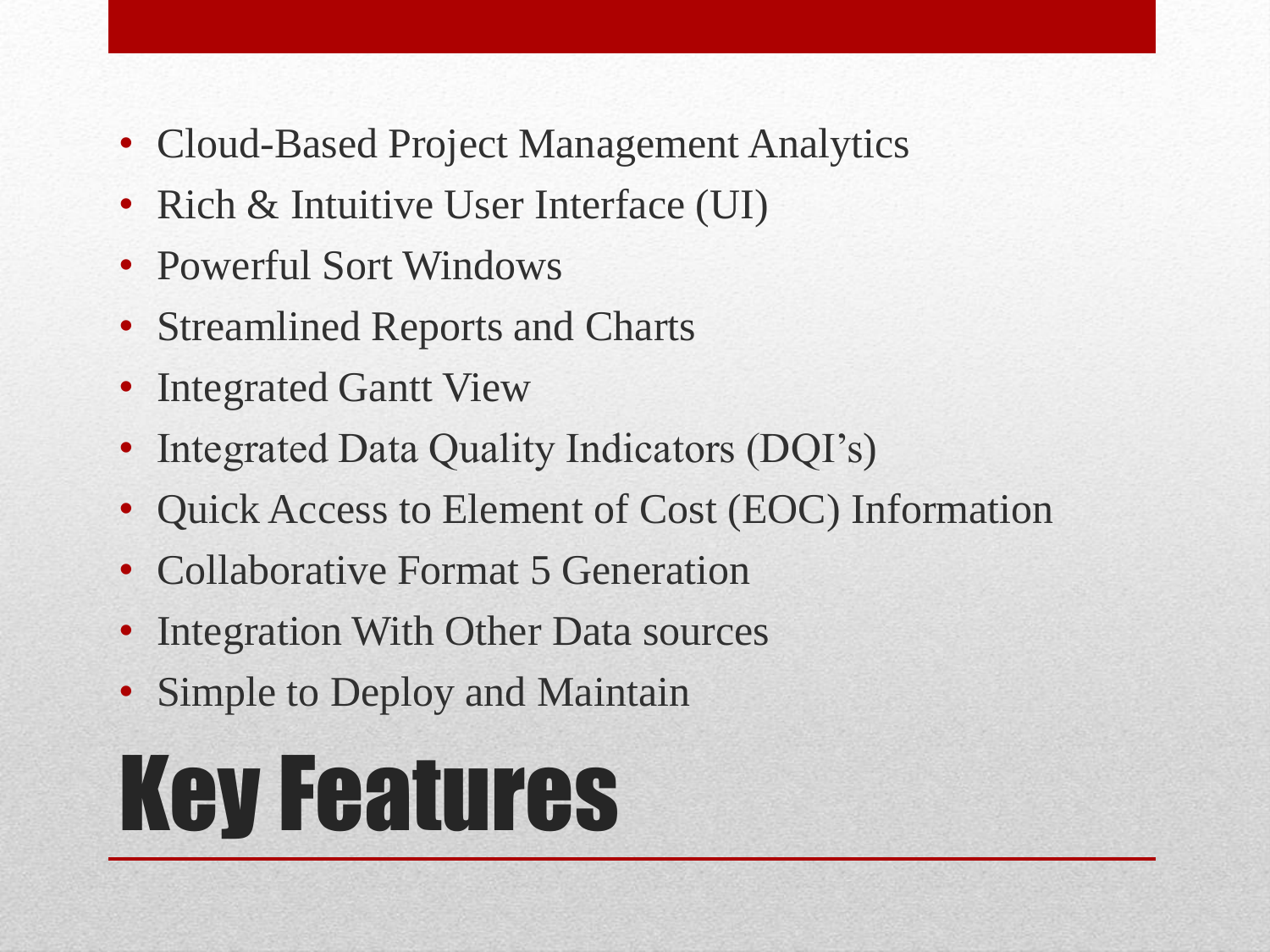- Cloud-Based Project Management Analytics
- Rich & Intuitive User Interface (UI)
- Powerful Sort Windows
- Streamlined Reports and Charts
- Integrated Gantt View
- Integrated Data Quality Indicators (DQI's)
- Quick Access to Element of Cost (EOC) Information
- Collaborative Format 5 Generation
- Integration With Other Data sources
- Simple to Deploy and Maintain

# Key Features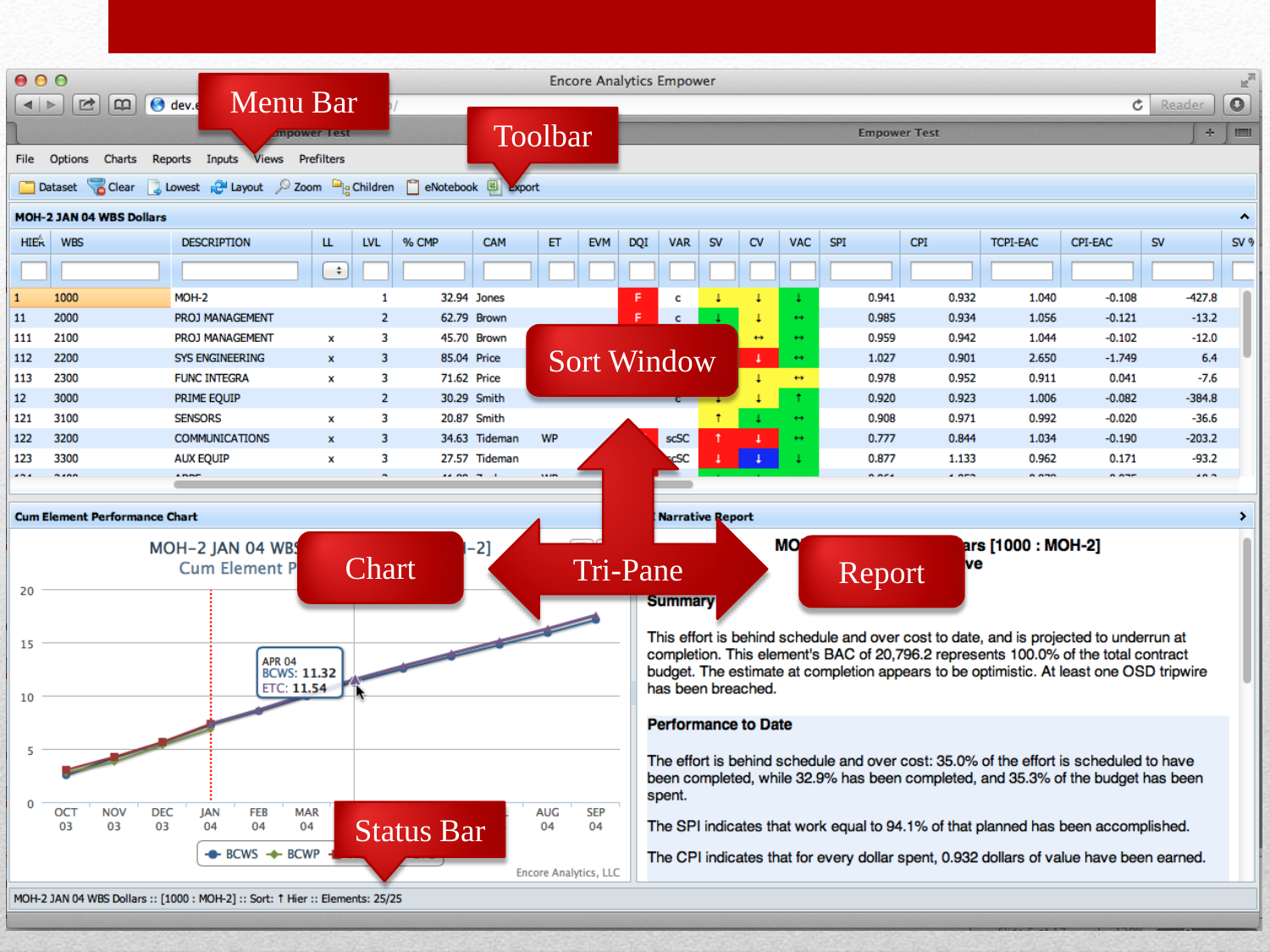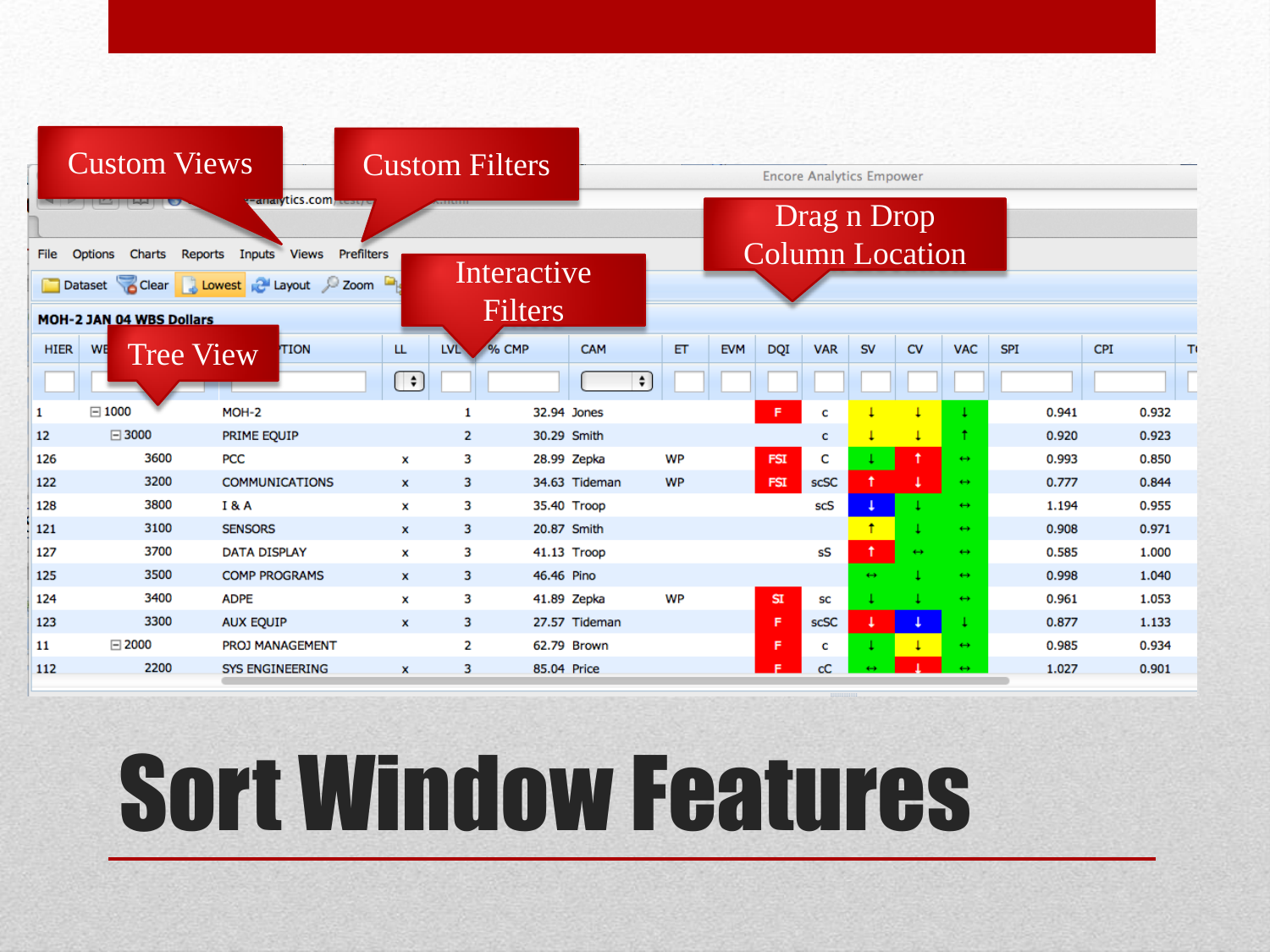|                                                                                     | <b>Custom Views</b>      | <b>Trailery</b> tics.com            |                                                       | <b>Custom Filters</b> |                |               | <b>Encore Analytics Empower</b> |                        |            |            |                   |                   |                   |     |       |     |       |  |
|-------------------------------------------------------------------------------------|--------------------------|-------------------------------------|-------------------------------------------------------|-----------------------|----------------|---------------|---------------------------------|------------------------|------------|------------|-------------------|-------------------|-------------------|-----|-------|-----|-------|--|
|                                                                                     |                          |                                     |                                                       |                       | Drag n Drop    |               |                                 |                        |            |            |                   |                   |                   |     |       |     |       |  |
| <b>Options</b><br>Charts<br>Reports<br>Inputs<br><b>Views</b><br>Prefilters<br>File |                          |                                     |                                                       |                       |                |               |                                 | <b>Column Location</b> |            |            |                   |                   |                   |     |       |     |       |  |
|                                                                                     |                          | Dataset Clear Jowest Playout 2 Zoom |                                                       | Interactive           |                |               |                                 |                        |            |            |                   |                   |                   |     |       |     |       |  |
|                                                                                     | MOH-2 JAN 04 WBS Dollars |                                     |                                                       |                       | <b>Filters</b> |               |                                 |                        |            |            |                   |                   |                   |     |       |     |       |  |
| <b>HIER</b>                                                                         | WE                       | TION<br><b>Tree View</b>            | LL                                                    | <b>LVL</b>            | % CMP          | <b>CAM</b>    | ET                              | <b>EVM</b>             | <b>DQI</b> | <b>VAR</b> | <b>SV</b>         | <b>CV</b>         | <b>VAC</b>        | SPI |       | CPI | т     |  |
|                                                                                     |                          |                                     | $\left(\begin{array}{c}\rightarrow\end{array}\right)$ |                       |                | $\div$        |                                 |                        |            |            |                   |                   |                   |     |       |     |       |  |
| 1                                                                                   | $\boxdot$ 1000           | MOH-2                               |                                                       | 1                     | 32.94 Jones    |               |                                 |                        | F.         | c          |                   |                   |                   |     | 0.941 |     | 0.932 |  |
| 12                                                                                  | $\boxdot$ 3000           | PRIME EQUIP                         |                                                       | $\overline{2}$        | 30.29 Smith    |               |                                 |                        |            | c          |                   | T                 |                   |     | 0.920 |     | 0.923 |  |
| 126                                                                                 | 3600                     | <b>PCC</b>                          | x                                                     | з                     | 28.99 Zepka    |               | WP                              |                        | <b>FSI</b> | c          |                   | ٠                 | $\leftrightarrow$ |     | 0.993 |     | 0.850 |  |
| 122                                                                                 | 3200                     | <b>COMMUNICATIONS</b>               | $\mathbf{x}$                                          | 3                     |                | 34.63 Tideman | <b>WP</b>                       |                        | <b>FSI</b> | scSC       |                   |                   | $\leftrightarrow$ |     | 0.777 |     | 0.844 |  |
| 128                                                                                 | 3800                     | <b>I&amp;A</b>                      | x                                                     | 3                     | 35.40 Troop    |               |                                 |                        |            | scS        |                   |                   | $\leftrightarrow$ |     | 1.194 |     | 0.955 |  |
| 121                                                                                 | 3100                     | <b>SENSORS</b>                      | $\mathbf{x}$                                          | 3                     | 20.87 Smith    |               |                                 |                        |            |            | Ť.                |                   | $\leftrightarrow$ |     | 0.908 |     | 0.971 |  |
| 127                                                                                 | 3700                     | <b>DATA DISPLAY</b>                 | ×                                                     | з                     | 41.13 Troop    |               |                                 |                        |            | sS         | Ť.                | $\leftrightarrow$ | $\leftrightarrow$ |     | 0.585 |     | 1.000 |  |
| 125                                                                                 | 3500                     | <b>COMP PROGRAMS</b>                | $\mathbf{x}$                                          | 3                     | 46.46 Pino     |               |                                 |                        |            |            | $\leftrightarrow$ |                   | $\leftrightarrow$ |     | 0.998 |     | 1.040 |  |
| 124                                                                                 | 3400                     | <b>ADPE</b>                         | ×                                                     | 3                     | 41.89 Zepka    |               | <b>WP</b>                       |                        | SI         | SC         |                   |                   | $\leftrightarrow$ |     | 0.961 |     | 1.053 |  |
| 123                                                                                 | 3300                     | <b>AUX EQUIP</b>                    | $\mathbf{x}$                                          | 3                     |                | 27.57 Tideman |                                 |                        | F.         | scSC       |                   |                   |                   |     | 0.877 |     | 1.133 |  |
| 11                                                                                  | $\boxminus$ 2000         | <b>PROJ MANAGEMENT</b>              |                                                       | $\overline{2}$        | 62.79 Brown    |               |                                 |                        | F.         | С          |                   |                   | $\leftrightarrow$ |     | 0.985 |     | 0.934 |  |
| 112                                                                                 | 2200                     | <b>SYS ENGINEERING</b>              | $\mathbf{x}$                                          | 3                     | 85.04 Price    |               |                                 |                        | е          | сC         |                   |                   | $\leftrightarrow$ |     | 1.027 |     | 0.901 |  |

## Sort Window Features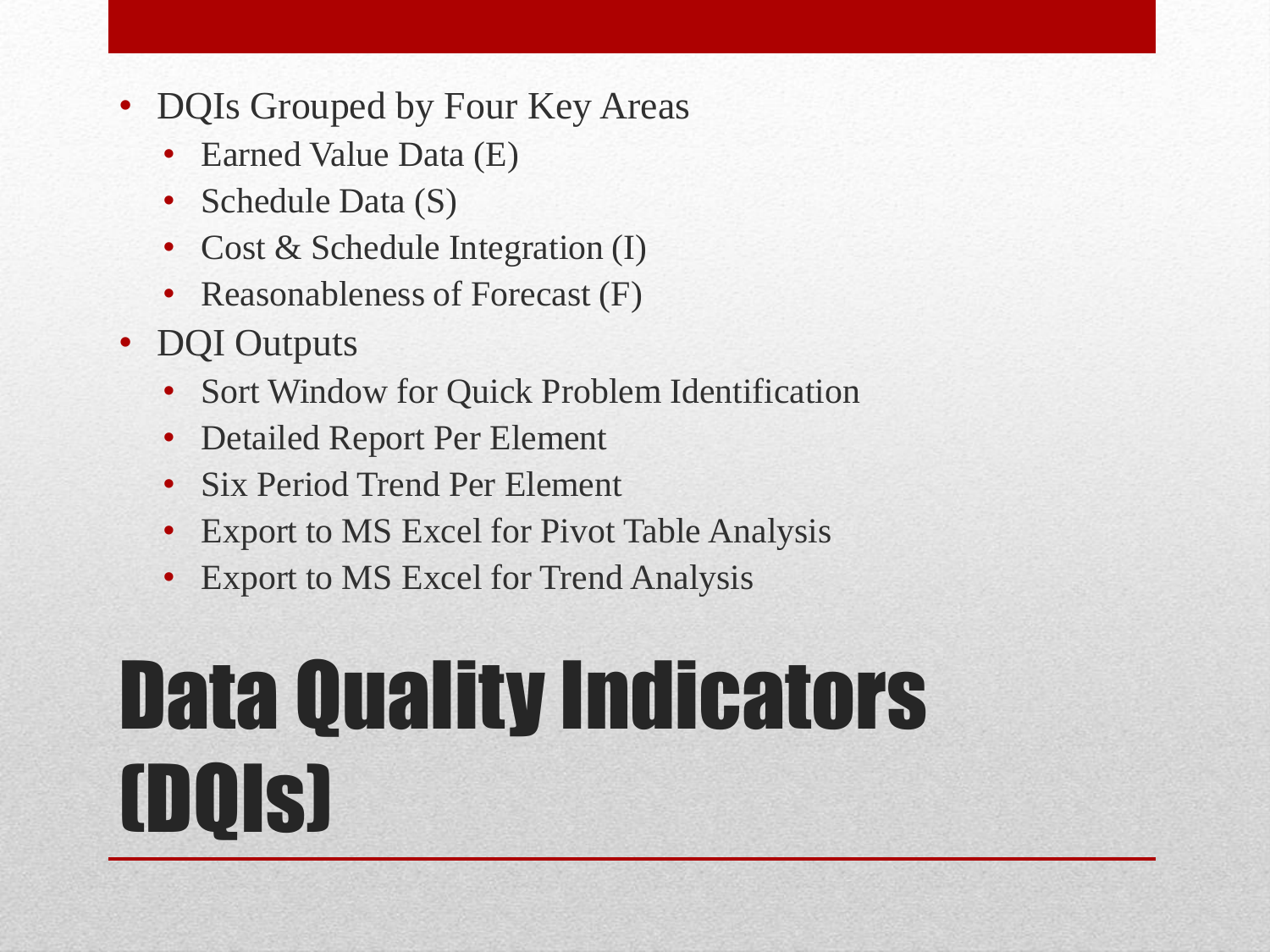- DQIs Grouped by Four Key Areas
	- Earned Value Data (E)
	- Schedule Data (S)
	- Cost & Schedule Integration (I)
	- Reasonableness of Forecast (F)
- DQI Outputs
	- Sort Window for Quick Problem Identification
	- Detailed Report Per Element
	- Six Period Trend Per Element
	- Export to MS Excel for Pivot Table Analysis
	- Export to MS Excel for Trend Analysis

### Data Quality Indicators (DQIs)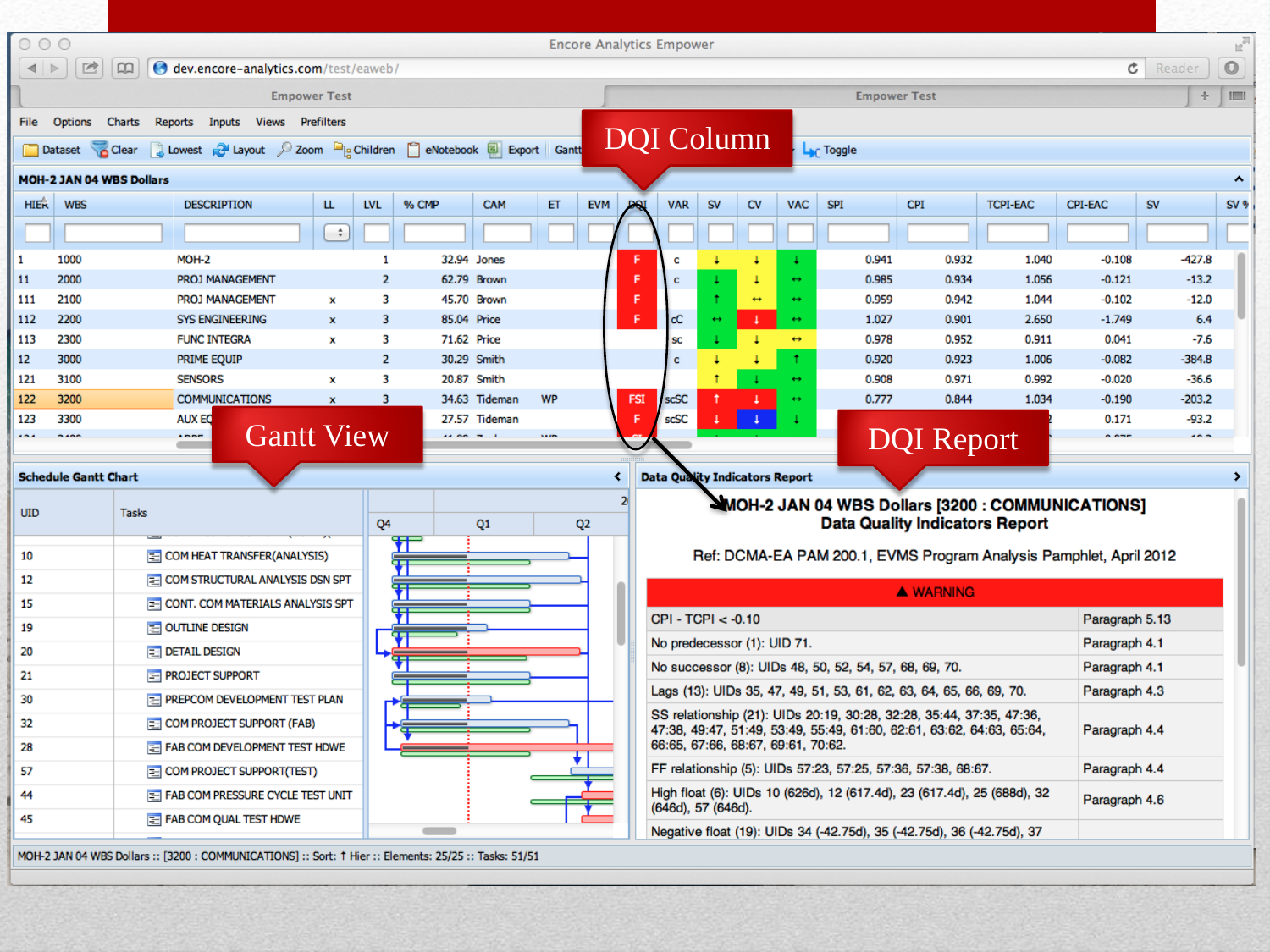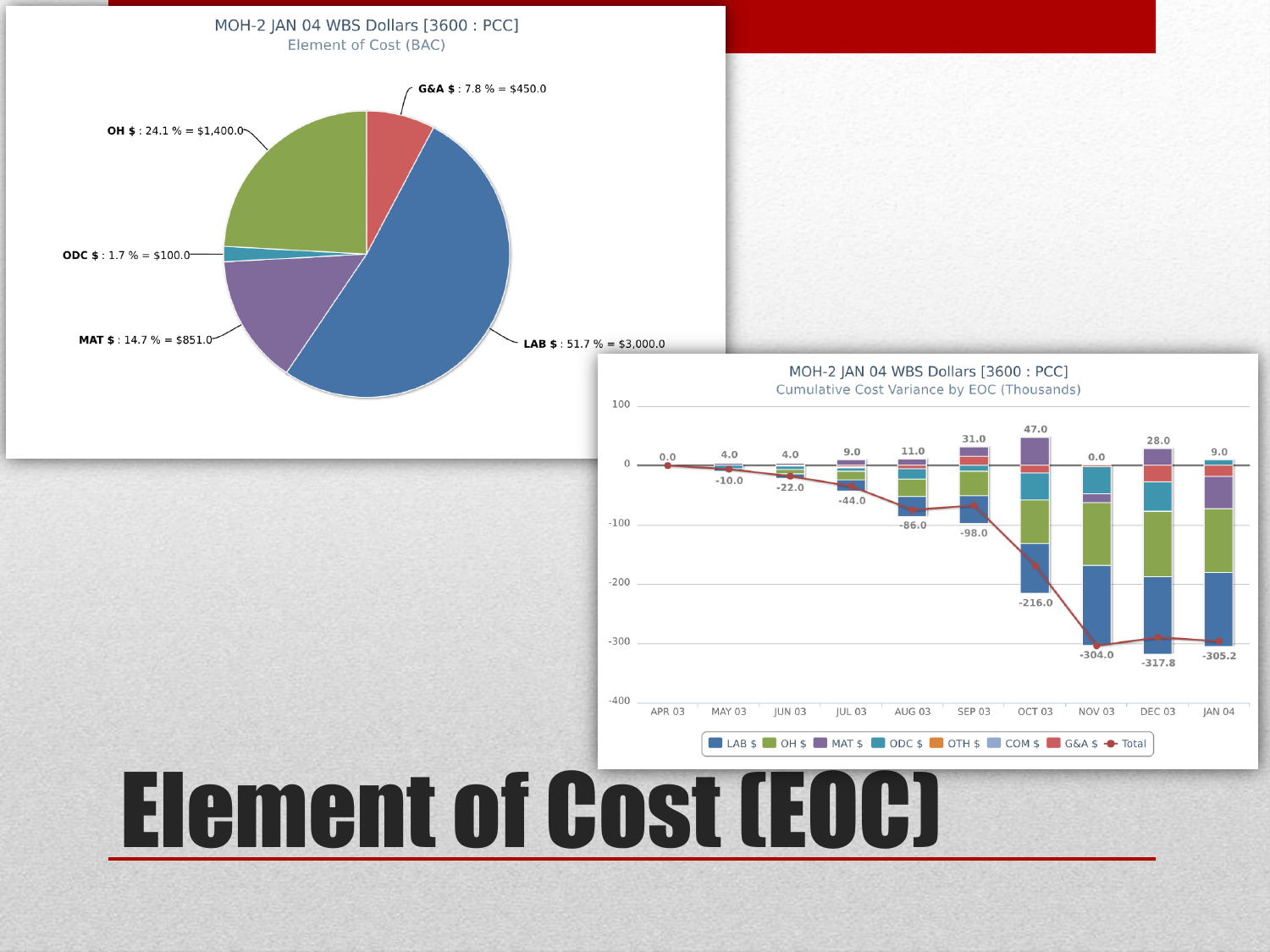### Cumulative Cost Variance by EOC (Thousands) 100 47.0 31.0 28.0  $9.0$ 11.0  $4.0$  $4.0$  $0.0$  $0.0$  $-10.0$  $-22.0$  $-44.0$  $-100$  $-86.0$  $-98.0$  $-200$  $-216.0$  $-300$  $-304.0$  $-317.8$  $-400$ APR 03 **MAY 03 JUN 03 JUL 03** AUG 03 SEP 03 OCT 03 NOV 03 DEC 03 LAB \$ OH \$ MAT \$ ODC \$ OTH \$ COM \$ G&A \$ + Total Element of Cost (EOC)

MOH-2 JAN 04 WBS Dollars [3600 : PCC]

 $9.0$ 

 $-305.2$ 

JAN 04

MOH-2 JAN 04 WBS Dollars [3600 : PCC] Element of Cost (BAC) G&A \$: 7.8 % = \$450.0 **OH \$** : 24.1 % = \$1,400.0 **ODC \$:** 1.7 % = \$100.0 **MAT \$: 14.7 % = \$851.0** LAB  $$: 51.7 % = $3,000.0$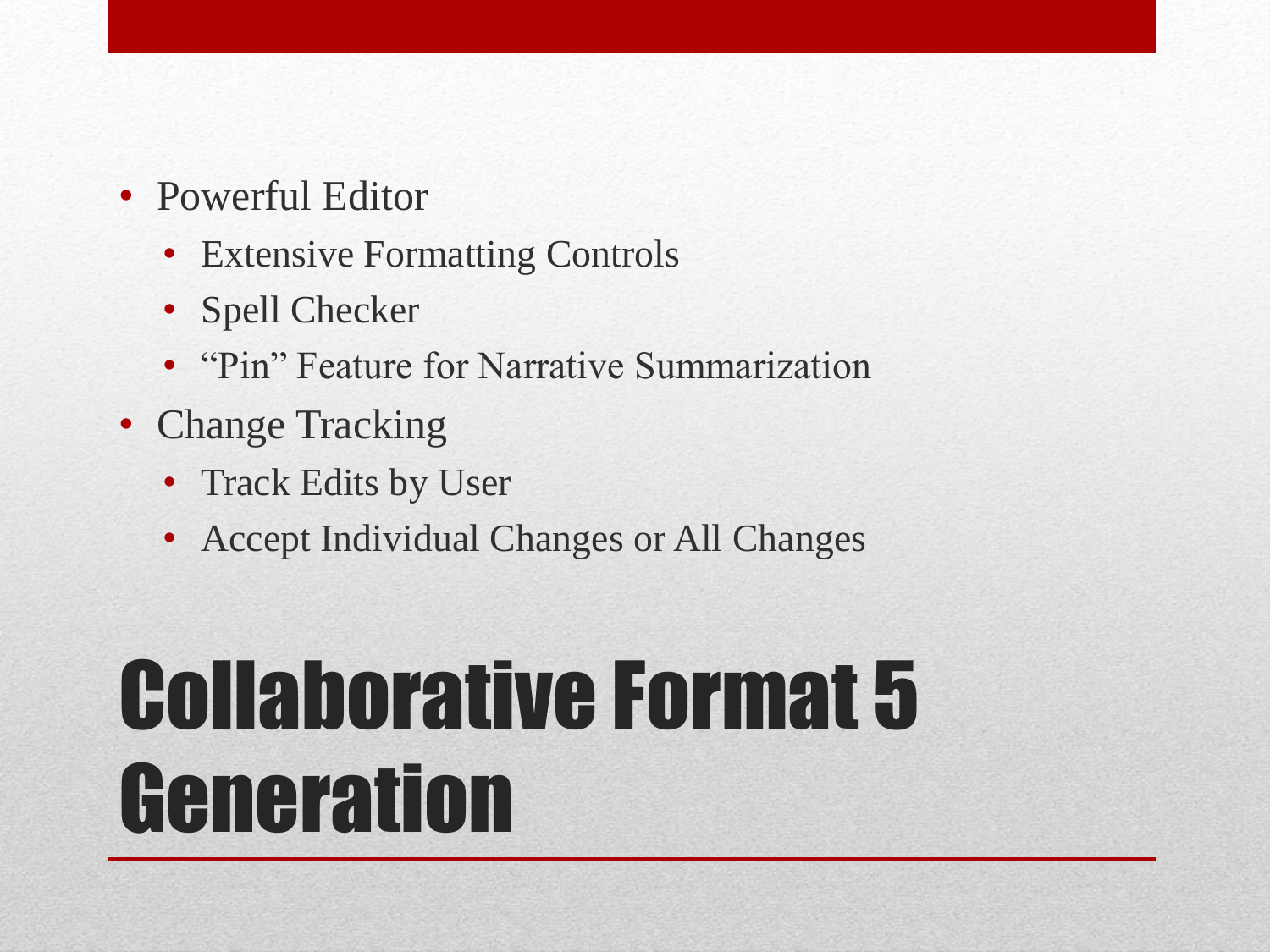- Powerful Editor
	- Extensive Formatting Controls
	- Spell Checker
	- "Pin" Feature for Narrative Summarization
- Change Tracking
	- Track Edits by User
	- Accept Individual Changes or All Changes

### Collaborative Format 5 **Generation**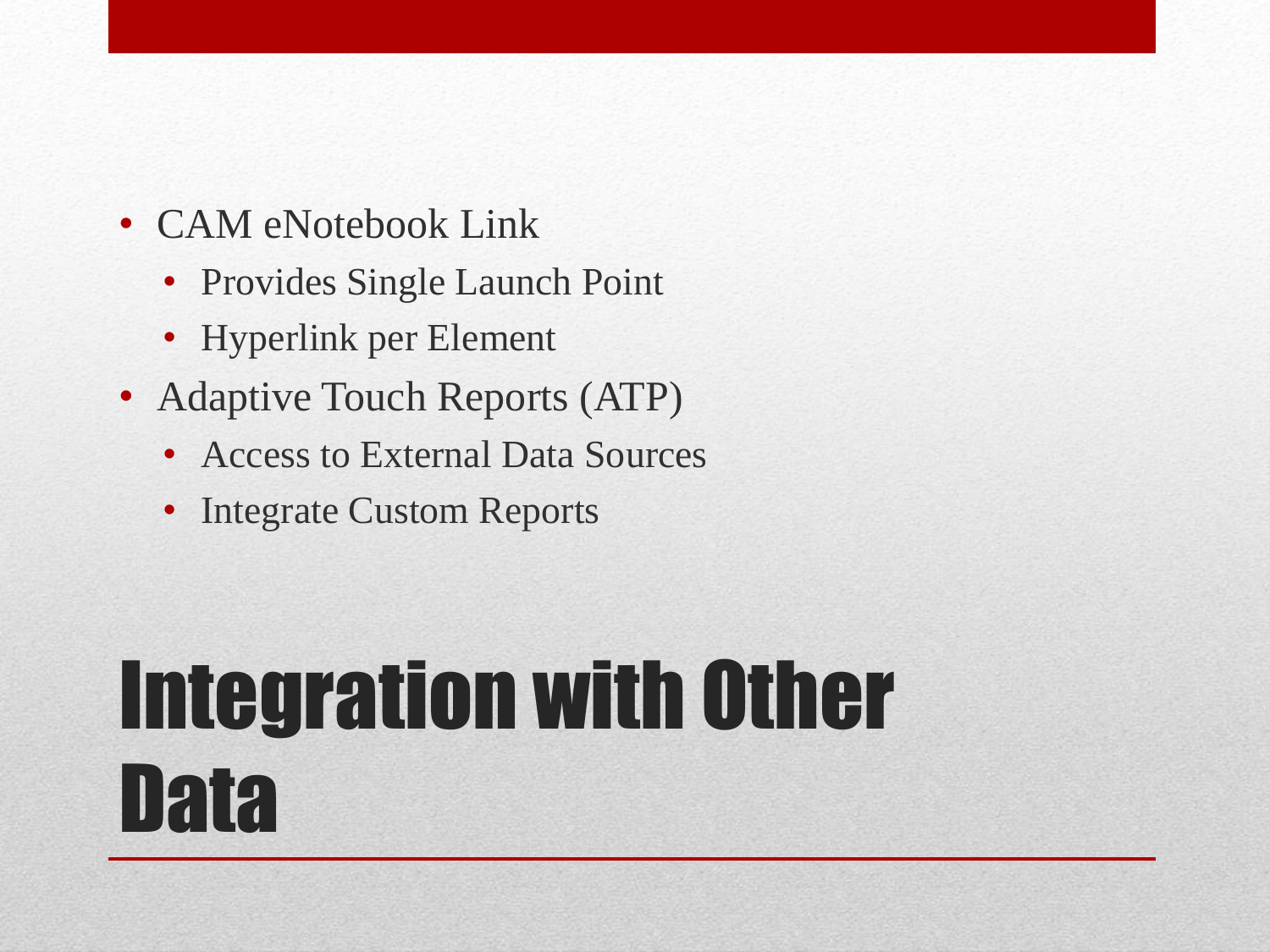- CAM eNotebook Link
	- Provides Single Launch Point
	- Hyperlink per Element
- Adaptive Touch Reports (ATP)
	- Access to External Data Sources
	- Integrate Custom Reports

### Integration with Other Data